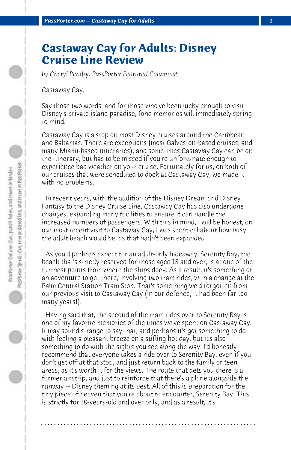## **Castaway Cay for Adults: Disney Cruise Line Review**

*by Cheryl Pendry, PassPorter Featured Columnist*

Castaway Cay.

Say those two words, and for those who've been lucky enough to visit Disney's private island paradise, fond memories will immediately spring to mind.

Castaway Cay is a stop on most Disney cruises around the Caribbean and Bahamas. There are exceptions (most Galveston-based cruises, and many Miami-based itineraries), and sometimes Castaway Cay can be on the itinerary, but has to be missed if you're unfortunate enough to experience bad weather on your cruise. Fortunately for us, on both of our cruises that were scheduled to dock at Castaway Cay, we made it with no problems.

 In recent years, with the addition of the Disney Dream and Disney Fantasy to the Disney Cruise Line, Castaway Cay has also undergone changes, expanding many facilities to ensure it can handle the increased numbers of passengers. With this in mind, I will be honest, on our most recent visit to Castaway Cay, I was sceptical about how busy the adult beach would be, as that hadn't been expanded.

 As you'd perhaps expect for an adult-only hideaway, Serenity Bay, the beach that's strictly reserved for those aged 18 and over, is at one of the furthest points from where the ships dock. As a result, it's something of an adventure to get there, involving two tram rides, with a change at the Palm Central Station Tram Stop. That's something we'd forgotten from our previous visit to Castaway Cay (in our defence, it had been far too many years!).

 Having said that, the second of the tram rides over to Serenity Bay is one of my favorite memories of the times we've spent on Castaway Cay. It may sound strange to say that, and perhaps it's got something to do with feeling a pleasant breeze on a stifling hot day, but it's also something to do with the sights you see along the way. I'd honestly recommend that everyone takes a ride over to Serenity Bay, even if you don't get off at that stop, and just return back to the family or teen areas, as it's worth it for the views. The route that gets you there is a former airstrip, and just to reinforce that there's a plane alongside the runway -- Disney theming at its best. All of this is preparation for the tiny piece of heaven that you're about to encounter, Serenity Bay. This is strictly for 18-years-old and over only, and as a result, it's

**. . . . . . . . . . . . . . . . . . . . . . . . . . . . . . . . . . . . . . . . . . . . . . . . . . . . . . . . . . . . . . . . . .**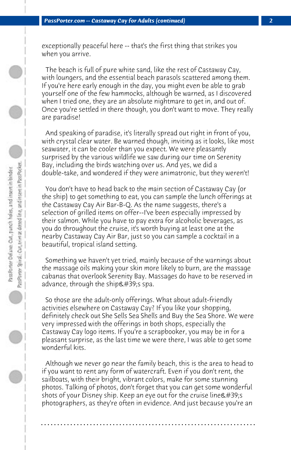exceptionally peaceful here -- that's the first thing that strikes you when you arrive.

 The beach is full of pure white sand, like the rest of Castaway Cay, with loungers, and the essential beach parasols scattered among them. If you're here early enough in the day, you might even be able to grab yourself one of the few hammocks, although be warned, as I discovered when I tried one, they are an absolute nightmare to get in, and out of. Once you're settled in there though, you don't want to move. They really are paradise!

 And speaking of paradise, it's literally spread out right in front of you, with crystal clear water. Be warned though, inviting as it looks, like most seawater, it can be cooler than you expect. We were pleasantly surprised by the various wildlife we saw during our time on Serenity Bay, including the birds watching over us. And yes, we did a double-take, and wondered if they were animatronic, but they weren't!

 You don't have to head back to the main section of Castaway Cay (or the ship) to get something to eat, you can sample the lunch offerings at the Castaway Cay Air Bar-B-Q. As the name suggests, there's a selection of grilled items on offer--I've been especially impressed by their salmon. While you have to pay extra for alcoholic beverages, as you do throughout the cruise, it's worth buying at least one at the nearby Castaway Cay Air Bar, just so you can sample a cocktail in a beautiful, tropical island setting.

 Something we haven't yet tried, mainly because of the warnings about the massage oils making your skin more likely to burn, are the massage cabanas that overlook Serenity Bay. Massages do have to be reserved in advance, through the ship  $\#39$ ; spa.

 So those are the adult-only offerings. What about adult-friendly activities elsewhere on Castaway Cay? If you like your shopping, definitely check out She Sells Sea Shells and Buy the Sea Shore. We were very impressed with the offerings in both shops, especially the Castaway Cay logo items. If you're a scrapbooker, you may be in for a pleasant surprise, as the last time we were there, I was able to get some wonderful kits.

 Although we never go near the family beach, this is the area to head to if you want to rent any form of watercraft. Even if you don't rent, the sailboats, with their bright, vibrant colors, make for some stunning photos. Talking of photos, don't forget that you can get some wonderful shots of your Disney ship. Keep an eye out for the cruise line  $\&\#39$ ; s photographers, as they're often in evidence. And just because you're an

**. . . . . . . . . . . . . . . . . . . . . . . . . . . . . . . . . . . . . . . . . . . . . . . . . . . . . . . . . . . . . . . . . .**